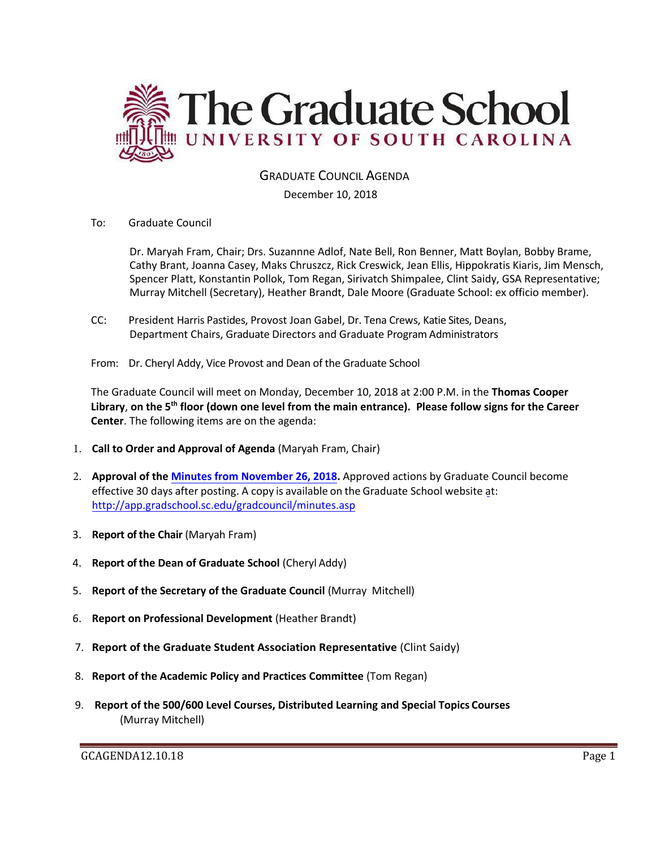

GRADUATE COUNCIL AGENDA

December 10, 2018

To: Graduate Council

Dr. Maryah Fram, Chair; Drs. Suzannne Adlof, Nate Bell, Ron Benner, Matt Boylan, Bobby Brame, Cathy Brant, Joanna Casey, Maks Chruszcz, Rick Creswick, Jean Ellis, Hippokratis Kiaris, Jim Mensch, Spencer Platt, Konstantin Pollok, Tom Regan, Sirivatch Shimpalee, Clint Saidy, GSA Representative; Murray Mitchell (Secretary), Heather Brandt, Dale Moore (Graduate School: ex officio member).

- CC: President Harris Pastides, Provost Joan Gabel, Dr. Tena Crews, Katie Sites, Deans, Department Chairs, Graduate Directors and Graduate Program Administrators
- From: Dr. Cheryl Addy, Vice Provost and Dean of the Graduate School

The Graduate Council will meet on Monday, December 10, 2018 at 2:00 P.M. in the **Thomas Cooper Library**, **on the 5th floor (down one level from the main entrance). Please follow signs for the Career Center**. The following items are on the agenda:

- 1. **Call to Order and Approval of Agenda** (Maryah Fram, Chair)
- 2. **Approval of the Minutes from November 26, 2018.** Approved actions by Graduate Council become effective 30 days after posting. A copy is available on the Graduate School website [at:](http://app.gradschool.sc.edu/gradcouncil/minutes.asp) <http://app.gradschool.sc.edu/gradcouncil/minutes.asp>
- 3. **Report of the Chair** (Maryah Fram)
- 4. **Report of the Dean of Graduate School** (Cheryl Addy)
- 5. **Report of the Secretary of the Graduate Council** (Murray Mitchell)
- 6. **Report on Professional Development** (Heather Brandt)
- 7. **Report of the Graduate Student Association Representative** (Clint Saidy)
- 8. **Report of the Academic Policy and Practices Committee** (Tom Regan)
- 9. **Report of the 500/600 Level Courses, Distributed Learning and Special Topics Courses** (Murray Mitchell)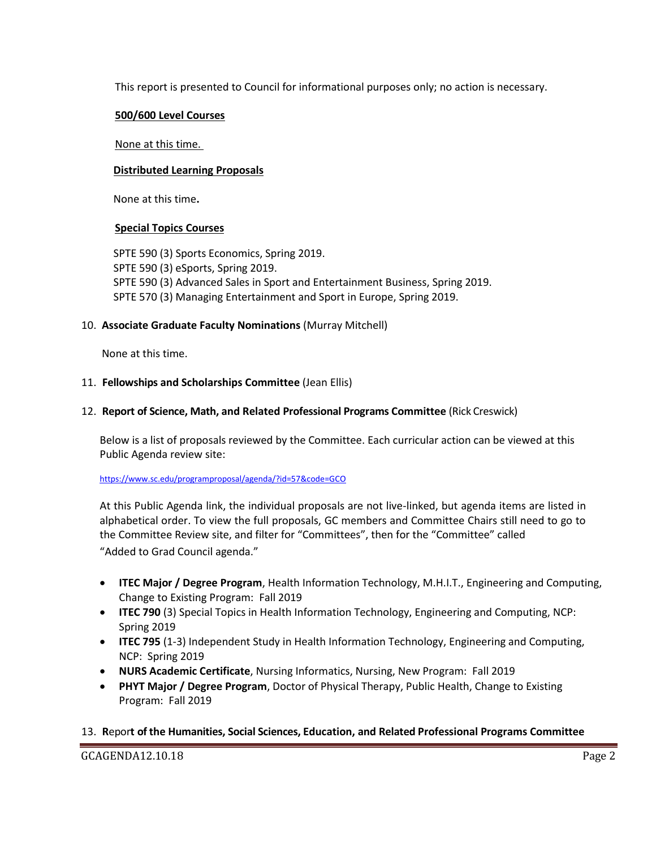This report is presented to Council for informational purposes only; no action is necessary.

### **500/600 Level Courses**

#### None at this time.

### **Distributed Learning Proposals**

None at this time**.**

## **Special Topics Courses**

SPTE 590 (3) Sports Economics, Spring 2019. SPTE 590 (3) eSports, Spring 2019. SPTE 590 (3) Advanced Sales in Sport and Entertainment Business, Spring 2019. SPTE 570 (3) Managing Entertainment and Sport in Europe, Spring 2019.

## 10. **Associate Graduate Faculty Nominations** (Murray Mitchell)

None at this time.

## 11. **Fellowships and Scholarships Committee** (Jean Ellis)

## 12. **Report of Science, Math, and Related Professional Programs Committee** (Rick Creswick)

Below is a list of proposals reviewed by the Committee. Each curricular action can be viewed at this Public Agenda review site:

<https://www.sc.edu/programproposal/agenda/?id=57&code=GCO>

At this Public Agenda link, the individual proposals are not live-linked, but agenda items are listed in alphabetical order. To view the full proposals, GC members and Committee Chairs still need to go to the Committee Review site, and filter for "Committees", then for the "Committee" called "Added to Grad Council agenda."

- **ITEC Major / Degree Program**, Health Information Technology, M.H.I.T., Engineering and Computing, Change to Existing Program: Fall 2019
- **ITEC 790** (3) Special Topics in Health Information Technology, Engineering and Computing, NCP: Spring 2019
- **ITEC 795** (1-3) Independent Study in Health Information Technology, Engineering and Computing, NCP: Spring 2019
- **NURS Academic Certificate**, Nursing Informatics, Nursing, New Program: Fall 2019
- **PHYT Major / Degree Program**, Doctor of Physical Therapy, Public Health, Change to Existing Program: Fall 2019

## 13. **R**epor**t of the Humanities, Social Sciences, Education, and Related Professional Programs Committee**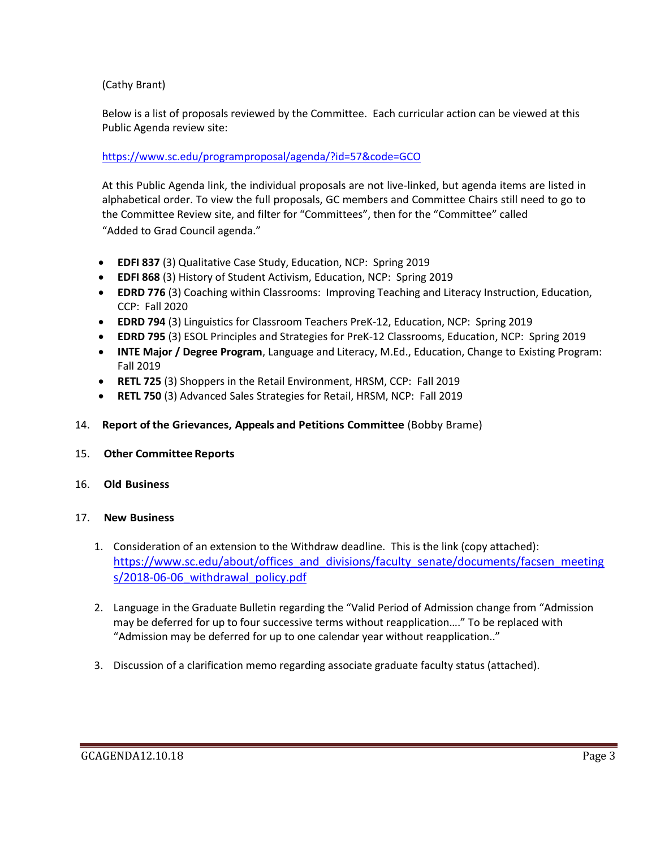# (Cathy Brant)

Below is a list of proposals reviewed by the Committee. Each curricular action can be viewed at this Public Agenda review site:

# <https://www.sc.edu/programproposal/agenda/?id=57&code=GCO>

At this Public Agenda link, the individual proposals are not live-linked, but agenda items are listed in alphabetical order. To view the full proposals, GC members and Committee Chairs still need to go to the Committee Review site, and filter for "Committees", then for the "Committee" called "Added to Grad Council agenda."

- **EDFI 837** (3) Qualitative Case Study, Education, NCP: Spring 2019
- **EDFI 868** (3) History of Student Activism, Education, NCP: Spring 2019
- **EDRD 776** (3) Coaching within Classrooms: Improving Teaching and Literacy Instruction, Education, CCP: Fall 2020
- **EDRD 794** (3) Linguistics for Classroom Teachers PreK-12, Education, NCP: Spring 2019
- **EDRD 795** (3) ESOL Principles and Strategies for PreK-12 Classrooms, Education, NCP: Spring 2019
- **INTE Major / Degree Program**, Language and Literacy, M.Ed., Education, Change to Existing Program: Fall 2019
- **RETL 725** (3) Shoppers in the Retail Environment, HRSM, CCP: Fall 2019
- **RETL 750** (3) Advanced Sales Strategies for Retail, HRSM, NCP: Fall 2019

## 14. **Report of the Grievances, Appeals and Petitions Committee** (Bobby Brame)

15. **Other Committee Reports**

#### 16. **Old Business**

#### 17. **New Business**

- 1. Consideration of an extension to the Withdraw deadline. This is the link (copy attached): [https://www.sc.edu/about/offices\\_and\\_divisions/faculty\\_senate/documents/facsen\\_meeting](https://www.sc.edu/about/offices_and_divisions/faculty_senate/documents/facsen_meetings/2018-06-06_withdrawal_policy.pdf) s/2018-06-06 withdrawal policy.pdf
- 2. Language in the Graduate Bulletin regarding the "Valid Period of Admission change from "Admission may be deferred for up to four successive terms without reapplication…." To be replaced with "Admission may be deferred for up to one calendar year without reapplication.."
- 3. Discussion of a clarification memo regarding associate graduate faculty status (attached).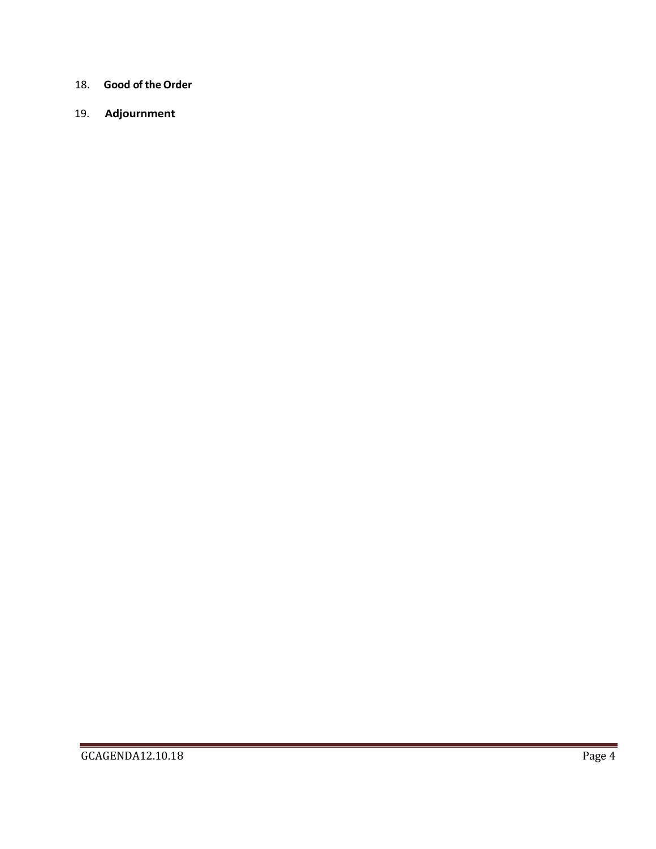- 18. **Good of the Order**
- 19. **Adjournment**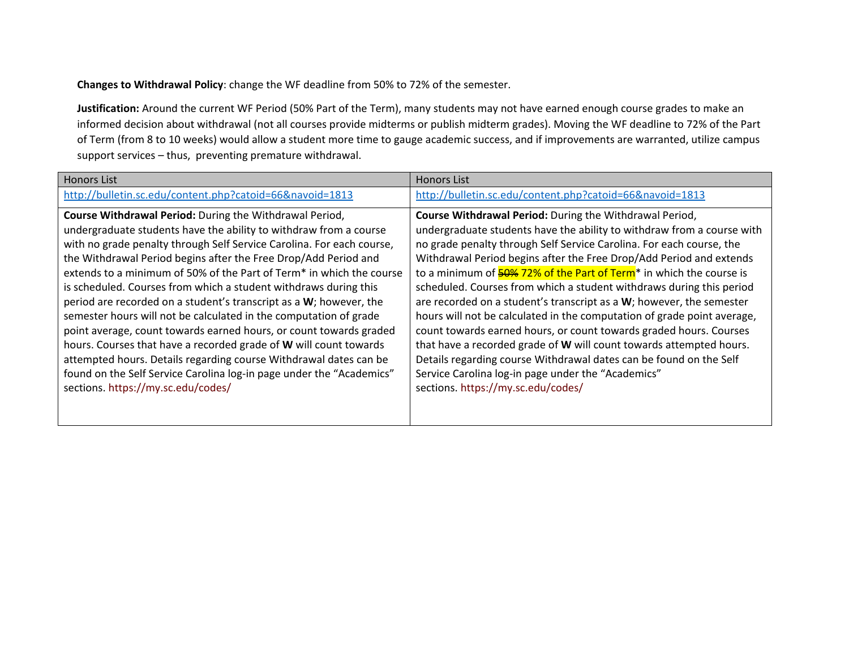**Changes to Withdrawal Policy**: change the WF deadline from 50% to 72% of the semester.

**Justification:** Around the current WF Period (50% Part of the Term), many students may not have earned enough course grades to make an informed decision about withdrawal (not all courses provide midterms or publish midterm grades). Moving the WF deadline to 72% of the Part of Term (from 8 to 10 weeks) would allow a student more time to gauge academic success, and if improvements are warranted, utilize campus support services – thus, preventing premature withdrawal.

| <b>Honors List</b>                                                    | <b>Honors List</b>                                                                          |
|-----------------------------------------------------------------------|---------------------------------------------------------------------------------------------|
| http://bulletin.sc.edu/content.php?catoid=66&navoid=1813              | http://bulletin.sc.edu/content.php?catoid=66&navoid=1813                                    |
| <b>Course Withdrawal Period:</b> During the Withdrawal Period,        | Course Withdrawal Period: During the Withdrawal Period,                                     |
| undergraduate students have the ability to withdraw from a course     | undergraduate students have the ability to withdraw from a course with                      |
| with no grade penalty through Self Service Carolina. For each course, | no grade penalty through Self Service Carolina. For each course, the                        |
| the Withdrawal Period begins after the Free Drop/Add Period and       | Withdrawal Period begins after the Free Drop/Add Period and extends                         |
| extends to a minimum of 50% of the Part of Term* in which the course  | to a minimum of $\frac{50\%}{22\%}$ of the Part of Term <sup>*</sup> in which the course is |
| is scheduled. Courses from which a student withdraws during this      | scheduled. Courses from which a student withdraws during this period                        |
| period are recorded on a student's transcript as a W; however, the    | are recorded on a student's transcript as a $W$ ; however, the semester                     |
| semester hours will not be calculated in the computation of grade     | hours will not be calculated in the computation of grade point average,                     |
| point average, count towards earned hours, or count towards graded    | count towards earned hours, or count towards graded hours. Courses                          |
| hours. Courses that have a recorded grade of W will count towards     | that have a recorded grade of W will count towards attempted hours.                         |
| attempted hours. Details regarding course Withdrawal dates can be     | Details regarding course Withdrawal dates can be found on the Self                          |
| found on the Self Service Carolina log-in page under the "Academics"  | Service Carolina log-in page under the "Academics"                                          |
| sections. https://my.sc.edu/codes/                                    | sections. https://my.sc.edu/codes/                                                          |